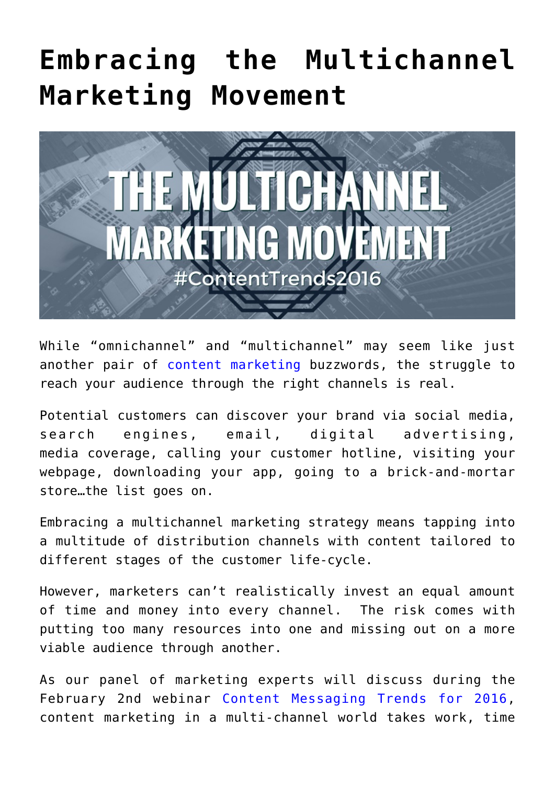## **[Embracing the Multichannel](https://www.commpro.biz/embracing-the-multichannel-marketing-movement/) [Marketing Movement](https://www.commpro.biz/embracing-the-multichannel-marketing-movement/)**



While "omnichannel" and "multichannel" may seem like just another pair of [content marketing](https://www.commpro.biz/agile-engagement-channel/) buzzwords, the struggle to reach your audience through the right channels is real.

Potential customers can discover your brand via social media, search engines, email, digital advertising, media coverage, calling your customer hotline, visiting your webpage, downloading your app, going to a brick-and-mortar store…the list goes on.

Embracing a multichannel marketing strategy means tapping into a multitude of distribution channels with content tailored to different stages of the customer life-cycle.

However, marketers can't realistically invest an equal amount of time and money into every channel. The risk comes with putting too many resources into one and missing out on a more viable audience through another.

As our panel of marketing experts will discuss during the February 2nd webinar [Content Messaging Trends for 2016,](https://bit.ly/contenttrends2016) content marketing in a multi-channel world takes work, time